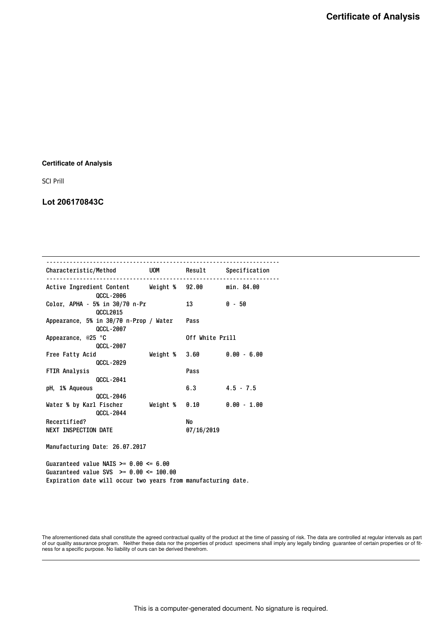## **Certificate of Analysis**

SCI Prill

## **Lot 206170843C**

| Characteristic/Method                                                   |               |                                                   |               |
|-------------------------------------------------------------------------|---------------|---------------------------------------------------|---------------|
| Active Ingredient Content Weight % 92.00 min. 84.00<br><b>QCCL-2006</b> |               |                                                   |               |
| Color, APHA - 5% in 30/70 n-Pr<br><b>QCCL2015</b>                       |               | 13                                                | $0 - 50$      |
| Appearance, 5% in 30/70 n-Prop / Water<br><b>QCCL-2007</b>              |               | Pass                                              |               |
| Appearance, @25 °C<br><b>QCCL-2007</b>                                  |               | Off White Prill                                   |               |
| Free Fatty Acid<br><b>QCCL-2029</b>                                     |               | Weight $\frac{6}{3}$ .60 $\frac{6}{9}$ .00 - 6.00 |               |
| <b>FTIR Analysis</b><br><b>QCCL-2041</b>                                |               | Pass                                              |               |
| pH, 1% Aqueous<br><b>QCCL-2046</b>                                      |               | 6.3                                               | $4.5 - 7.5$   |
| Water % by Karl Fischer<br><b>QCCL-2044</b>                             | Weight % 0.10 |                                                   | $0.00 - 1.00$ |
| Recertified?                                                            |               | No                                                |               |
| <b>NEXT INSPECTION DATE</b>                                             |               | 07/16/2019                                        |               |

Manufacturing Date: 26.07.2017

Guaranteed value NAIS  $>= 0.00 \le 6.00$ Guaranteed value SVS >= 0.00 <= 100.00 Expiration date will occur two years from manufacturing date.

The aforementioned data shall constitute the agreed contractual quality of the product at the time of passing of risk. The data are controlled at regular intervals as part<br>of our quality assurance program. Neither these da